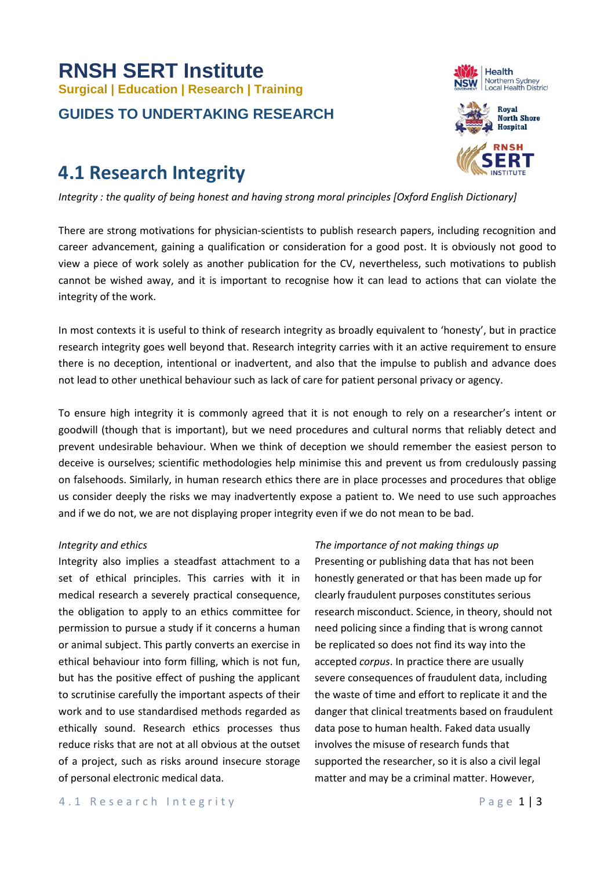# **RNSH SERT Institute Surgical | Education | Research | Training GUIDES TO UNDERTAKING RESEARCH**

# **4.1 Research Integrity**

*Integrity : the quality of being honest and having strong moral principles [Oxford English Dictionary]*

There are strong motivations for physician-scientists to publish research papers, including recognition and career advancement, gaining a qualification or consideration for a good post. It is obviously not good to view a piece of work solely as another publication for the CV, nevertheless, such motivations to publish cannot be wished away, and it is important to recognise how it can lead to actions that can violate the integrity of the work.

In most contexts it is useful to think of research integrity as broadly equivalent to 'honesty', but in practice research integrity goes well beyond that. Research integrity carries with it an active requirement to ensure there is no deception, intentional or inadvertent, and also that the impulse to publish and advance does not lead to other unethical behaviour such as lack of care for patient personal privacy or agency.

To ensure high integrity it is commonly agreed that it is not enough to rely on a researcher's intent or goodwill (though that is important), but we need procedures and cultural norms that reliably detect and prevent undesirable behaviour. When we think of deception we should remember the easiest person to deceive is ourselves; scientific methodologies help minimise this and prevent us from credulously passing on falsehoods. Similarly, in human research ethics there are in place processes and procedures that oblige us consider deeply the risks we may inadvertently expose a patient to. We need to use such approaches and if we do not, we are not displaying proper integrity even if we do not mean to be bad.

# *Integrity and ethics*

Integrity also implies a steadfast attachment to a set of ethical principles. This carries with it in medical research a severely practical consequence, the obligation to apply to an ethics committee for permission to pursue a study if it concerns a human or animal subject. This partly converts an exercise in ethical behaviour into form filling, which is not fun, but has the positive effect of pushing the applicant to scrutinise carefully the important aspects of their work and to use standardised methods regarded as ethically sound. Research ethics processes thus reduce risks that are not at all obvious at the outset of a project, such as risks around insecure storage of personal electronic medical data.

# *The importance of not making things up*

Presenting or publishing data that has not been honestly generated or that has been made up for clearly fraudulent purposes constitutes serious research misconduct. Science, in theory, should not need policing since a finding that is wrong cannot be replicated so does not find its way into the accepted *corpus*. In practice there are usually severe consequences of fraudulent data, including the waste of time and effort to replicate it and the danger that clinical treatments based on fraudulent data pose to human health. Faked data usually involves the misuse of research funds that supported the researcher, so it is also a civil legal matter and may be a criminal matter. However,



ERT

Health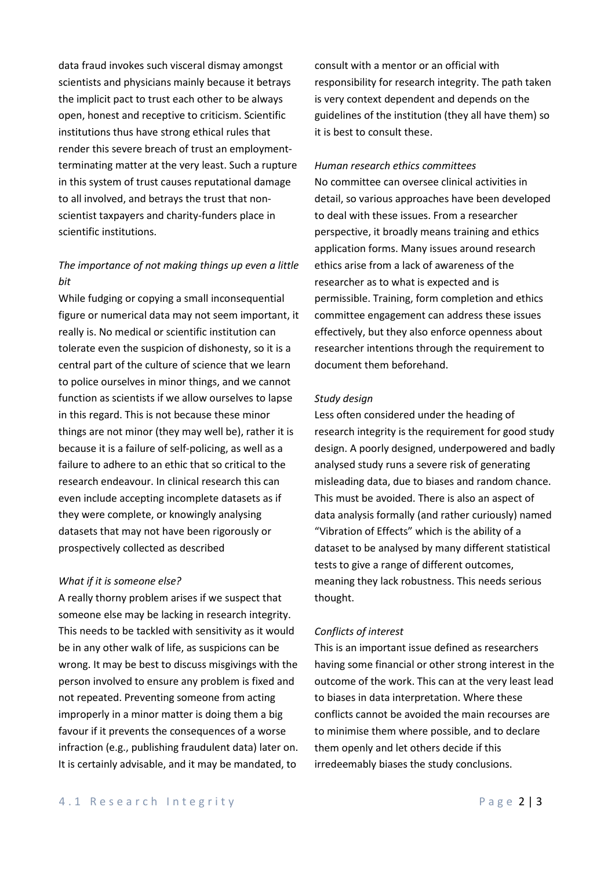data fraud invokes such visceral dismay amongst scientists and physicians mainly because it betrays the implicit pact to trust each other to be always open, honest and receptive to criticism. Scientific institutions thus have strong ethical rules that render this severe breach of trust an employmentterminating matter at the very least. Such a rupture in this system of trust causes reputational damage to all involved, and betrays the trust that nonscientist taxpayers and charity-funders place in scientific institutions.

# *The importance of not making things up even a little bit*

While fudging or copying a small inconsequential figure or numerical data may not seem important, it really is. No medical or scientific institution can tolerate even the suspicion of dishonesty, so it is a central part of the culture of science that we learn to police ourselves in minor things, and we cannot function as scientists if we allow ourselves to lapse in this regard. This is not because these minor things are not minor (they may well be), rather it is because it is a failure of self-policing, as well as a failure to adhere to an ethic that so critical to the research endeavour. In clinical research this can even include accepting incomplete datasets as if they were complete, or knowingly analysing datasets that may not have been rigorously or prospectively collected as described

### *What if it is someone else?*

A really thorny problem arises if we suspect that someone else may be lacking in research integrity. This needs to be tackled with sensitivity as it would be in any other walk of life, as suspicions can be wrong. It may be best to discuss misgivings with the person involved to ensure any problem is fixed and not repeated. Preventing someone from acting improperly in a minor matter is doing them a big favour if it prevents the consequences of a worse infraction (e.g., publishing fraudulent data) later on. It is certainly advisable, and it may be mandated, to

consult with a mentor or an official with responsibility for research integrity. The path taken is very context dependent and depends on the guidelines of the institution (they all have them) so it is best to consult these.

## *Human research ethics committees*

No committee can oversee clinical activities in detail, so various approaches have been developed to deal with these issues. From a researcher perspective, it broadly means training and ethics application forms. Many issues around research ethics arise from a lack of awareness of the researcher as to what is expected and is permissible. Training, form completion and ethics committee engagement can address these issues effectively, but they also enforce openness about researcher intentions through the requirement to document them beforehand.

#### *Study design*

Less often considered under the heading of research integrity is the requirement for good study design. A poorly designed, underpowered and badly analysed study runs a severe risk of generating misleading data, due to biases and random chance. This must be avoided. There is also an aspect of data analysis formally (and rather curiously) named "Vibration of Effects" which is the ability of a dataset to be analysed by many different statistical tests to give a range of different outcomes, meaning they lack robustness. This needs serious thought.

#### *Conflicts of interest*

This is an important issue defined as researchers having some financial or other strong interest in the outcome of the work. This can at the very least lead to biases in data interpretation. Where these conflicts cannot be avoided the main recourses are to minimise them where possible, and to declare them openly and let others decide if this irredeemably biases the study conclusions.